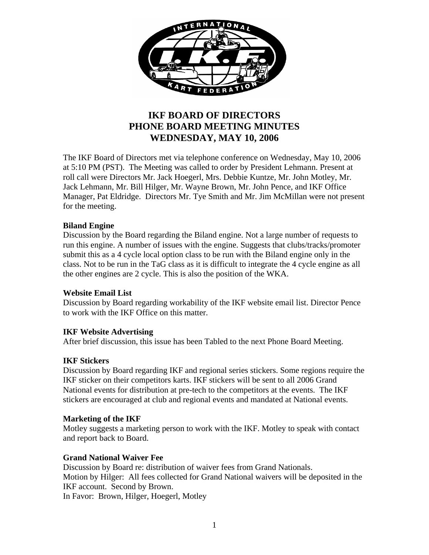

# **IKF BOARD OF DIRECTORS PHONE BOARD MEETING MINUTES WEDNESDAY, MAY 10, 2006**

The IKF Board of Directors met via telephone conference on Wednesday, May 10, 2006 at 5:10 PM (PST). The Meeting was called to order by President Lehmann. Present at roll call were Directors Mr. Jack Hoegerl, Mrs. Debbie Kuntze, Mr. John Motley, Mr. Jack Lehmann, Mr. Bill Hilger, Mr. Wayne Brown, Mr. John Pence, and IKF Office Manager, Pat Eldridge. Directors Mr. Tye Smith and Mr. Jim McMillan were not present for the meeting.

## **Biland Engine**

Discussion by the Board regarding the Biland engine. Not a large number of requests to run this engine. A number of issues with the engine. Suggests that clubs/tracks/promoter submit this as a 4 cycle local option class to be run with the Biland engine only in the class. Not to be run in the TaG class as it is difficult to integrate the 4 cycle engine as all the other engines are 2 cycle. This is also the position of the WKA.

#### **Website Email List**

Discussion by Board regarding workability of the IKF website email list. Director Pence to work with the IKF Office on this matter.

#### **IKF Website Advertising**

After brief discussion, this issue has been Tabled to the next Phone Board Meeting.

#### **IKF Stickers**

Discussion by Board regarding IKF and regional series stickers. Some regions require the IKF sticker on their competitors karts. IKF stickers will be sent to all 2006 Grand National events for distribution at pre-tech to the competitors at the events. The IKF stickers are encouraged at club and regional events and mandated at National events.

#### **Marketing of the IKF**

Motley suggests a marketing person to work with the IKF. Motley to speak with contact and report back to Board.

#### **Grand National Waiver Fee**

Discussion by Board re: distribution of waiver fees from Grand Nationals. Motion by Hilger: All fees collected for Grand National waivers will be deposited in the IKF account. Second by Brown. In Favor: Brown, Hilger, Hoegerl, Motley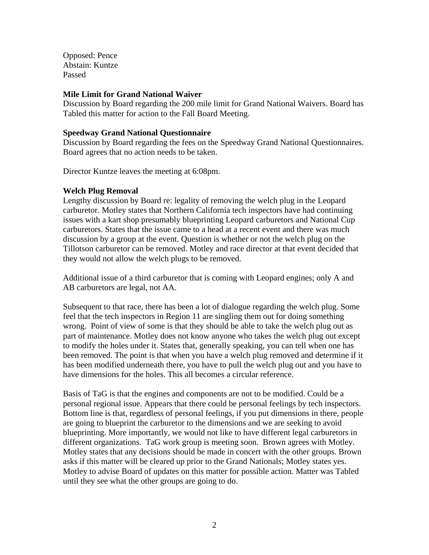Opposed: Pence Abstain: Kuntze Passed

#### **Mile Limit for Grand National Waiver**

Discussion by Board regarding the 200 mile limit for Grand National Waivers. Board has Tabled this matter for action to the Fall Board Meeting.

#### **Speedway Grand National Questionnaire**

Discussion by Board regarding the fees on the Speedway Grand National Questionnaires. Board agrees that no action needs to be taken.

Director Kuntze leaves the meeting at 6:08pm.

#### **Welch Plug Removal**

Lengthy discussion by Board re: legality of removing the welch plug in the Leopard carburetor. Motley states that Northern California tech inspectors have had continuing issues with a kart shop presumably blueprinting Leopard carburetors and National Cup carburetors. States that the issue came to a head at a recent event and there was much discussion by a group at the event. Question is whether or not the welch plug on the Tillotson carburetor can be removed. Motley and race director at that event decided that they would not allow the welch plugs to be removed.

Additional issue of a third carburetor that is coming with Leopard engines; only A and AB carburetors are legal, not AA.

Subsequent to that race, there has been a lot of dialogue regarding the welch plug. Some feel that the tech inspectors in Region 11 are singling them out for doing something wrong. Point of view of some is that they should be able to take the welch plug out as part of maintenance. Motley does not know anyone who takes the welch plug out except to modify the holes under it. States that, generally speaking, you can tell when one has been removed. The point is that when you have a welch plug removed and determine if it has been modified underneath there, you have to pull the welch plug out and you have to have dimensions for the holes. This all becomes a circular reference.

Basis of TaG is that the engines and components are not to be modified. Could be a personal regional issue. Appears that there could be personal feelings by tech inspectors. Bottom line is that, regardless of personal feelings, if you put dimensions in there, people are going to blueprint the carburetor to the dimensions and we are seeking to avoid blueprinting. More importantly, we would not like to have different legal carburetors in different organizations. TaG work group is meeting soon. Brown agrees with Motley. Motley states that any decisions should be made in concert with the other groups. Brown asks if this matter will be cleared up prior to the Grand Nationals; Motley states yes. Motley to advise Board of updates on this matter for possible action. Matter was Tabled until they see what the other groups are going to do.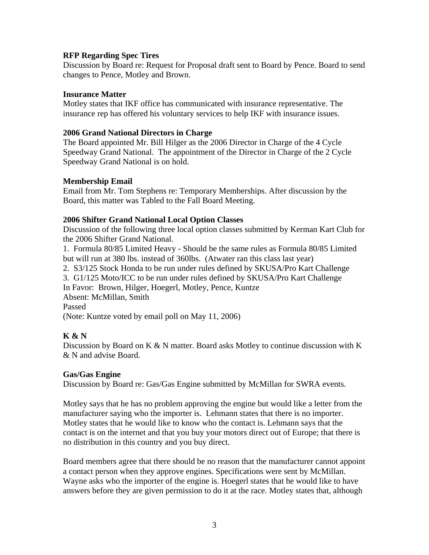## **RFP Regarding Spec Tires**

Discussion by Board re: Request for Proposal draft sent to Board by Pence. Board to send changes to Pence, Motley and Brown.

## **Insurance Matter**

Motley states that IKF office has communicated with insurance representative. The insurance rep has offered his voluntary services to help IKF with insurance issues.

## **2006 Grand National Directors in Charge**

The Board appointed Mr. Bill Hilger as the 2006 Director in Charge of the 4 Cycle Speedway Grand National. The appointment of the Director in Charge of the 2 Cycle Speedway Grand National is on hold.

## **Membership Email**

Email from Mr. Tom Stephens re: Temporary Memberships. After discussion by the Board, this matter was Tabled to the Fall Board Meeting.

## **2006 Shifter Grand National Local Option Classes**

Discussion of the following three local option classes submitted by Kerman Kart Club for the 2006 Shifter Grand National.

1. Formula 80/85 Limited Heavy - Should be the same rules as Formula 80/85 Limited but will run at 380 lbs. instead of 360lbs. (Atwater ran this class last year)

2. S3/125 Stock Honda to be run under rules defined by SKUSA/Pro Kart Challenge

3. G1/125 Moto/ICC to be run under rules defined by SKUSA/Pro Kart Challenge

In Favor: Brown, Hilger, Hoegerl, Motley, Pence, Kuntze

Absent: McMillan, Smith

Passed

(Note: Kuntze voted by email poll on May 11, 2006)

## **K & N**

Discussion by Board on K  $\&$  N matter. Board asks Motley to continue discussion with K & N and advise Board.

#### **Gas/Gas Engine**

Discussion by Board re: Gas/Gas Engine submitted by McMillan for SWRA events.

Motley says that he has no problem approving the engine but would like a letter from the manufacturer saying who the importer is. Lehmann states that there is no importer. Motley states that he would like to know who the contact is. Lehmann says that the contact is on the internet and that you buy your motors direct out of Europe; that there is no distribution in this country and you buy direct.

Board members agree that there should be no reason that the manufacturer cannot appoint a contact person when they approve engines. Specifications were sent by McMillan. Wayne asks who the importer of the engine is. Hoegerl states that he would like to have answers before they are given permission to do it at the race. Motley states that, although